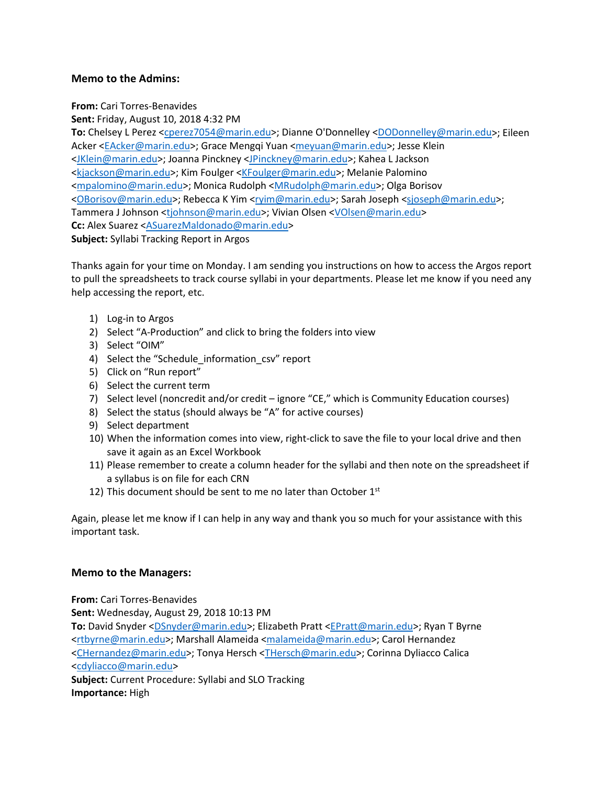## **Memo to the Admins:**

**From:** Cari Torres-Benavides

**Sent:** Friday, August 10, 2018 4:32 PM

**To:** Chelsey L Perez [<cperez7054@marin.edu>](mailto:cperez7054@marin.edu); Dianne O'Donnelley [<DODonnelley@marin.edu>](mailto:DODonnelley@marin.edu); Eileen Acker [<EAcker@marin.edu>](mailto:EAcker@marin.edu); Grace Mengqi Yuan [<meyuan@marin.edu>](mailto:meyuan@marin.edu); Jesse Klein [<JKlein@marin.edu>](mailto:JKlein@marin.edu); Joanna Pinckney [<JPinckney@marin.edu>](mailto:JPinckney@marin.edu); Kahea L Jackson [<kjackson@marin.edu>](mailto:kjackson@marin.edu); Kim Foulger [<KFoulger@marin.edu>](mailto:KFoulger@marin.edu); Melanie Palomino [<mpalomino@marin.edu>](mailto:mpalomino@marin.edu); Monica Rudolph [<MRudolph@marin.edu>](mailto:MRudolph@marin.edu); Olga Borisov [<OBorisov@marin.edu>](mailto:OBorisov@marin.edu); Rebecca K Yim [<ryim@marin.edu>](mailto:ryim@marin.edu); Sarah Joseph [<sjoseph@marin.edu>](mailto:sjoseph@marin.edu); Tammera J Johnson [<tjohnson@marin.edu>](mailto:tjohnson@marin.edu); Vivian Olsen [<VOlsen@marin.edu>](mailto:VOlsen@marin.edu) Cc: Alex Suarez [<ASuarezMaldonado@marin.edu>](mailto:ASuarezMaldonado@marin.edu) **Subject:** Syllabi Tracking Report in Argos

Thanks again for your time on Monday. I am sending you instructions on how to access the Argos report to pull the spreadsheets to track course syllabi in your departments. Please let me know if you need any help accessing the report, etc.

- 1) Log-in to Argos
- 2) Select "A-Production" and click to bring the folders into view
- 3) Select "OIM"
- 4) Select the "Schedule information csv" report
- 5) Click on "Run report"
- 6) Select the current term
- 7) Select level (noncredit and/or credit ignore "CE," which is Community Education courses)
- 8) Select the status (should always be "A" for active courses)
- 9) Select department
- 10) When the information comes into view, right-click to save the file to your local drive and then save it again as an Excel Workbook
- 11) Please remember to create a column header for the syllabi and then note on the spreadsheet if a syllabus is on file for each CRN
- 12) This document should be sent to me no later than October  $1<sup>st</sup>$

Again, please let me know if I can help in any way and thank you so much for your assistance with this important task.

## **Memo to the Managers:**

**From:** Cari Torres-Benavides

**Sent:** Wednesday, August 29, 2018 10:13 PM

**To:** David Snyder [<DSnyder@marin.edu>](mailto:DSnyder@marin.edu); Elizabeth Pratt [<EPratt@marin.edu>](mailto:EPratt@marin.edu); Ryan T Byrne [<rtbyrne@marin.edu>](mailto:rtbyrne@marin.edu); Marshall Alameida [<malameida@marin.edu>](mailto:malameida@marin.edu); Carol Hernandez [<CHernandez@marin.edu>](mailto:CHernandez@marin.edu); Tonya Hersch [<THersch@marin.edu>](mailto:THersch@marin.edu); Corinna Dyliacco Calica [<cdyliacco@marin.edu>](mailto:cdyliacco@marin.edu)

**Subject:** Current Procedure: Syllabi and SLO Tracking **Importance:** High